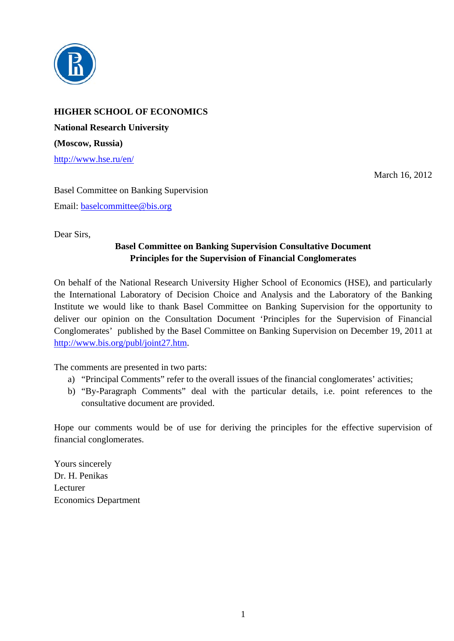

**HIGHER SCHOOL OF ECONOMICS National Research University (Moscow, Russia)**  http://www.hse.ru/en/

March 16, 2012

Basel Committee on Banking Supervision Email: baselcommittee@bis.org

Dear Sirs,

#### **Basel Committee on Banking Supervision Consultative Document Principles for the Supervision of Financial Conglomerates**

On behalf of the National Research University Higher School of Economics (HSE), and particularly the International Laboratory of Decision Choice and Analysis and the Laboratory of the Banking Institute we would like to thank Basel Committee on Banking Supervision for the opportunity to deliver our opinion on the Consultation Document 'Principles for the Supervision of Financial Conglomerates' published by the Basel Committee on Banking Supervision on December 19, 2011 at http://www.bis.org/publ/joint27.htm.

The comments are presented in two parts:

- a) "Principal Comments" refer to the overall issues of the financial conglomerates' activities;
- b) "By-Paragraph Comments" deal with the particular details, i.e. point references to the consultative document are provided.

Hope our comments would be of use for deriving the principles for the effective supervision of financial conglomerates.

Yours sincerely Dr. H. Penikas Lecturer Economics Department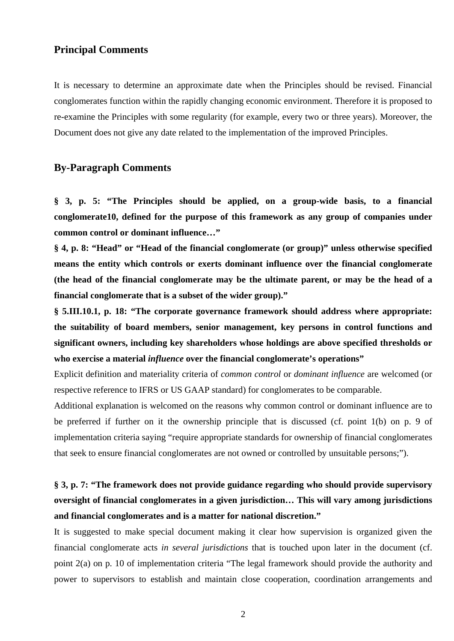#### **Principal Comments**

It is necessary to determine an approximate date when the Principles should be revised. Financial conglomerates function within the rapidly changing economic environment. Therefore it is proposed to re-examine the Principles with some regularity (for example, every two or three years). Moreover, the Document does not give any date related to the implementation of the improved Principles.

#### **By-Paragraph Comments**

**§ 3, p. 5: "The Principles should be applied, on a group-wide basis, to a financial conglomerate10, defined for the purpose of this framework as any group of companies under common control or dominant influence…"** 

**§ 4, p. 8: "Head" or "Head of the financial conglomerate (or group)" unless otherwise specified means the entity which controls or exerts dominant influence over the financial conglomerate (the head of the financial conglomerate may be the ultimate parent, or may be the head of a financial conglomerate that is a subset of the wider group)."** 

**§ 5.III.10.1, p. 18: "The corporate governance framework should address where appropriate: the suitability of board members, senior management, key persons in control functions and significant owners, including key shareholders whose holdings are above specified thresholds or who exercise a material** *influence* **over the financial conglomerate's operations"** 

Explicit definition and materiality criteria of *common control* or *dominant influence* are welcomed (or respective reference to IFRS or US GAAP standard) for conglomerates to be comparable.

Additional explanation is welcomed on the reasons why common control or dominant influence are to be preferred if further on it the ownership principle that is discussed (cf. point 1(b) on p. 9 of implementation criteria saying "require appropriate standards for ownership of financial conglomerates that seek to ensure financial conglomerates are not owned or controlled by unsuitable persons;").

## **§ 3, p. 7: "The framework does not provide guidance regarding who should provide supervisory oversight of financial conglomerates in a given jurisdiction… This will vary among jurisdictions and financial conglomerates and is a matter for national discretion."**

It is suggested to make special document making it clear how supervision is organized given the financial conglomerate acts *in several jurisdictions* that is touched upon later in the document (cf. point 2(a) on p. 10 of implementation criteria "The legal framework should provide the authority and power to supervisors to establish and maintain close cooperation, coordination arrangements and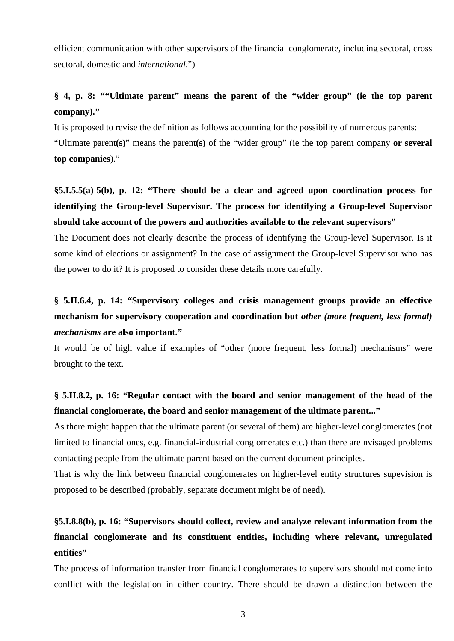efficient communication with other supervisors of the financial conglomerate, including sectoral, cross sectoral, domestic and *international*.")

### **§ 4, p. 8: ""Ultimate parent" means the parent of the "wider group" (ie the top parent company)."**

It is proposed to revise the definition as follows accounting for the possibility of numerous parents:

"Ultimate parent**(s)**" means the parent**(s)** of the "wider group" (ie the top parent company **or several top companies**)."

# **§5.I.5.5(a)-5(b), p. 12: "There should be a clear and agreed upon coordination process for identifying the Group-level Supervisor. The process for identifying a Group-level Supervisor should take account of the powers and authorities available to the relevant supervisors"**

The Document does not clearly describe the process of identifying the Group-level Supervisor. Is it some kind of elections or assignment? In the case of assignment the Group-level Supervisor who has the power to do it? It is proposed to consider these details more carefully.

## **§ 5.II.6.4, p. 14: "Supervisory colleges and crisis management groups provide an effective mechanism for supervisory cooperation and coordination but** *other (more frequent, less formal) mechanisms* **are also important."**

It would be of high value if examples of "other (more frequent, less formal) mechanisms" were brought to the text.

### **§ 5.II.8.2, p. 16: "Regular contact with the board and senior management of the head of the financial conglomerate, the board and senior management of the ultimate parent..."**

As there might happen that the ultimate parent (or several of them) are higher-level conglomerates (not limited to financial ones, e.g. financial-industrial conglomerates etc.) than there are nvisaged problems contacting people from the ultimate parent based on the current document principles.

That is why the link between financial conglomerates on higher-level entity structures supevision is proposed to be described (probably, separate document might be of need).

# **§5.I.8.8(b), p. 16: "Supervisors should collect, review and analyze relevant information from the financial conglomerate and its constituent entities, including where relevant, unregulated entities"**

The process of information transfer from financial conglomerates to supervisors should not come into conflict with the legislation in either country. There should be drawn a distinction between the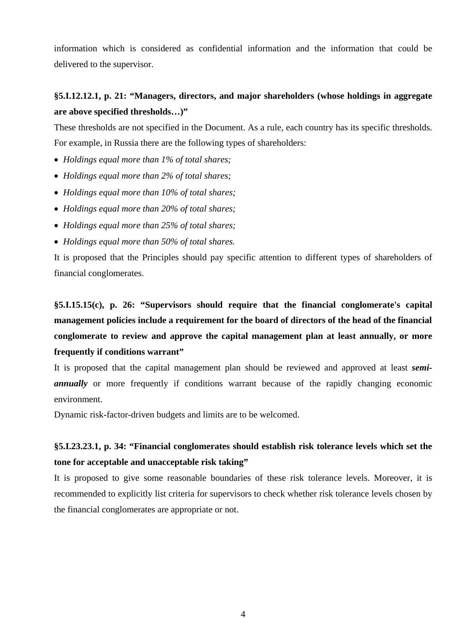information which is considered as confidential information and the information that could be delivered to the supervisor.

#### **§5.I.12.12.1, p. 21: "Managers, directors, and major shareholders (whose holdings in aggregate are above specified thresholds…)"**

These thresholds are not specified in the Document. As a rule, each country has its specific thresholds. For example, in Russia there are the following types of shareholders:

- *Holdings equal more than 1% of total shares;*
- *Holdings equal more than 2% of total shares;*
- *Holdings equal more than 10% of total shares;*
- *Holdings equal more than 20% of total shares;*
- *Holdings equal more than 25% of total shares;*
- *Holdings equal more than 50% of total shares.*

It is proposed that the Principles should pay specific attention to different types of shareholders of financial conglomerates.

**§5.I.15.15(c), p. 26: "Supervisors should require that the financial conglomerate's capital management policies include a requirement for the board of directors of the head of the financial conglomerate to review and approve the capital management plan at least annually, or more frequently if conditions warrant"** 

It is proposed that the capital management plan should be reviewed and approved at least *semiannually* or more frequently if conditions warrant because of the rapidly changing economic environment.

Dynamic risk-factor-driven budgets and limits are to be welcomed.

### **§5.I.23.23.1, p. 34: "Financial conglomerates should establish risk tolerance levels which set the tone for acceptable and unacceptable risk taking"**

It is proposed to give some reasonable boundaries of these risk tolerance levels. Moreover, it is recommended to explicitly list criteria for supervisors to check whether risk tolerance levels chosen by the financial conglomerates are appropriate or not.